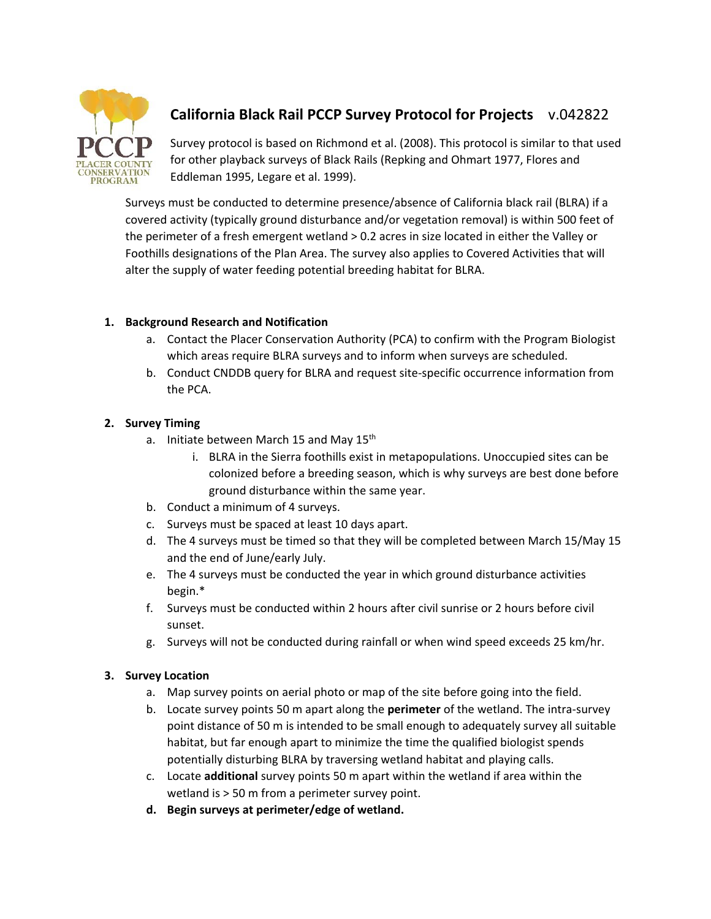

# **California Black Rail PCCP Survey Protocol for Projects** v.042822

Survey protocol is based on Richmond et al. (2008). This protocol is similar to that used for other playback surveys of Black Rails (Repking and Ohmart 1977, Flores and Eddleman 1995, Legare et al. 1999).

Surveys must be conducted to determine presence/absence of California black rail (BLRA) if a covered activity (typically ground disturbance and/or vegetation removal) is within 500 feet of the perimeter of a fresh emergent wetland > 0.2 acres in size located in either the Valley or Foothills designations of the Plan Area. The survey also applies to Covered Activities that will alter the supply of water feeding potential breeding habitat for BLRA.

# **1. Background Research and Notification**

- a. Contact the Placer Conservation Authority (PCA) to confirm with the Program Biologist which areas require BLRA surveys and to inform when surveys are scheduled.
- b. Conduct CNDDB query for BLRA and request site‐specific occurrence information from the PCA.

# **2. Survey Timing**

- a. Initiate between March 15 and May 15<sup>th</sup>
	- i. BLRA in the Sierra foothills exist in metapopulations. Unoccupied sites can be colonized before a breeding season, which is why surveys are best done before ground disturbance within the same year.
- b. Conduct a minimum of 4 surveys.
- c. Surveys must be spaced at least 10 days apart.
- d. The 4 surveys must be timed so that they will be completed between March 15/May 15 and the end of June/early July.
- e. The 4 surveys must be conducted the year in which ground disturbance activities begin.\*
- f. Surveys must be conducted within 2 hours after civil sunrise or 2 hours before civil sunset.
- g. Surveys will not be conducted during rainfall or when wind speed exceeds 25 km/hr.

## **3. Survey Location**

- a. Map survey points on aerial photo or map of the site before going into the field.
- b. Locate survey points 50 m apart along the **perimeter** of the wetland. The intra‐survey point distance of 50 m is intended to be small enough to adequately survey all suitable habitat, but far enough apart to minimize the time the qualified biologist spends potentially disturbing BLRA by traversing wetland habitat and playing calls.
- c. Locate **additional** survey points 50 m apart within the wetland if area within the wetland is > 50 m from a perimeter survey point.
- **d. Begin surveys at perimeter/edge of wetland.**